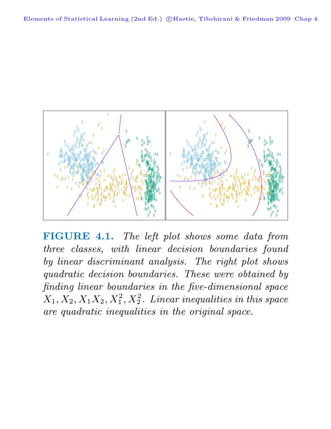

**FIGURE 4.1.** The left plot shows some data from three classes, with linear decision boundaries found by linear discriminant analysis. The right plot shows quadratic decision boundaries. These were obtained by finding linear boundaries in the five-dimensional space  $X_1, X_2, X_1X_2, X_1^2, X_2^2$ . Linear inequalities in this space are quadratic inequalities in the original space.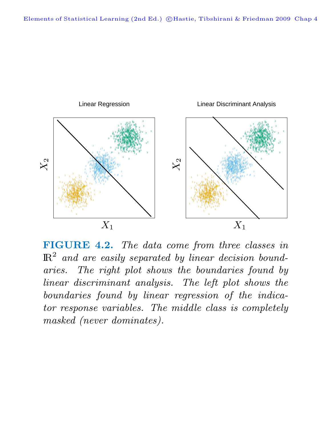

**FIGURE 4.2.** The data come from three classes in  $\mathbb{R}^2$  and are easily separated by linear decision boundaries. The right plot shows the boundaries found by linear discriminant analysis. The left plot shows the boundaries found by linear regression of the indicator response variables. The middle class is completely masked (never dominates).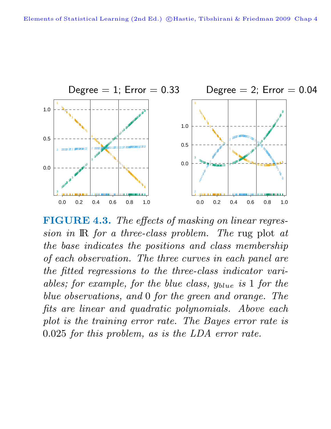

**FIGURE 4.3.** The effects of masking on linear regression in IR for a three-class problem. The rug plot at the base indicates the positions and class membership of each observation. The three curves in each panel are the fitted regressions to the three-class indicator variables; for example, for the blue class,  $y_{blue}$  is 1 for the blue observations, and 0 for the green and orange. The fits are linear and quadratic polynomials. Above each plot is the training error rate. The Bayes error rate is .025 for this problem, as is the LDA error rate.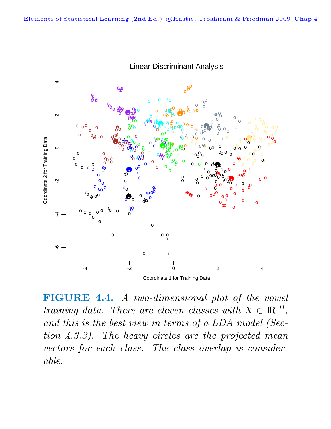

**Linear Discriminant Analysis** 

FIGURE 4.4. A two-dimensional plot of the vowel training data. There are eleven classes with  $X \in \mathbb{R}^{10}$ , and this is the best view in terms of a LDA model (Section  $(4.3.3)$ . The heavy circles are the projected mean vectors for each class. The class overlap is considerable.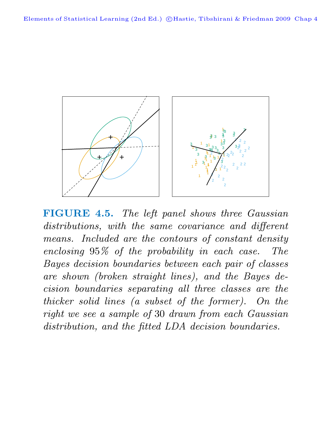

**FIGURE 4.5.** The left panel shows three Gaussian distributions, with the same covariance and different means. Included are the contours of constant density enclosing 95% of the probability in each case. The Bayes decision boundaries between each pair of classes are shown (broken straight lines), and the Bayes decision boundaries separating all three classes are the thicker solid lines (a subset of the former). On the right we see a sample of 30 drawn from each Gaussian distribution, and the fitted LDA decision boundaries.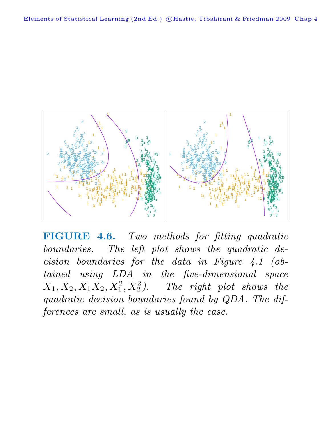

**FIGURE 4.6.** Two methods for fitting quadratic boundaries. The left plot shows the quadratic decision boundaries for the data in Figure 4.1 (obtained using LDA in the five-dimensional space  $X_1, X_2, X_1X_2, X_1^2, X_2^2$ ). The right plot shows the quadratic decision boundaries found by QDA. The differences are small, as is usually the case.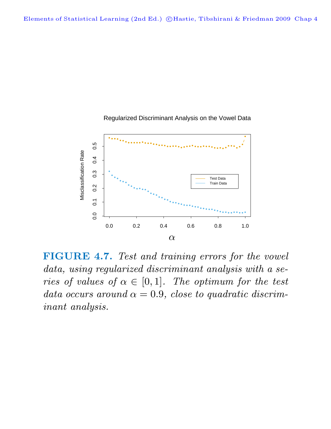

Regularized Discriminant Analysis on the Vowel Data

**FIGURE 4.7.** Test and training errors for the vowel data, using regularized discriminant analysis with a series of values of  $\alpha \in [0,1]$ . The optimum for the test data occurs around  $\alpha = 0.9$ , close to quadratic discriminant analysis.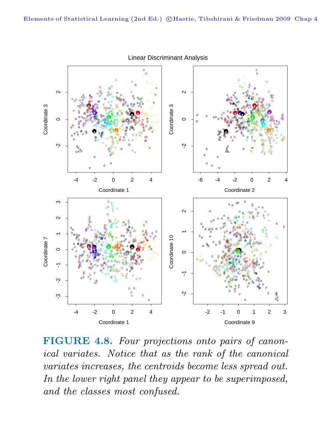

**Linear Discriminant Analysis** 

FIGURE 4.8. Four projections onto pairs of canonical variates. Notice that as the rank of the canonical variates increases, the centroids become less spread out. In the lower right panel they appear to be superimposed, and the classes most confused.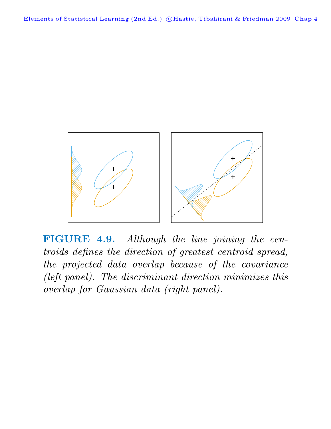

**FIGURE 4.9.** Although the line joining the centroids defines the direction of greatest centroid spread, the projected data overlap because of the covariance (left panel). The discriminant direction minimizes this overlap for Gaussian data (right panel).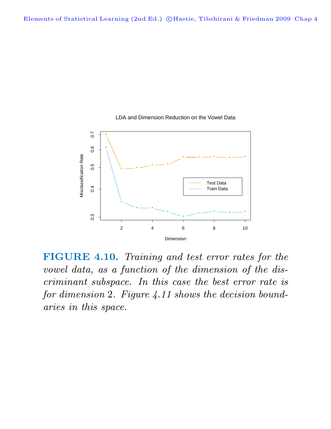

LDA and Dimension Reduction on the Vowel Data

**FIGURE 4.10.** Training and test error rates for the vowel data, as a function of the dimension of the discriminant subspace. In this case the best error rate is for dimension 2. Figure 4.11 shows the decision boundaries in this space.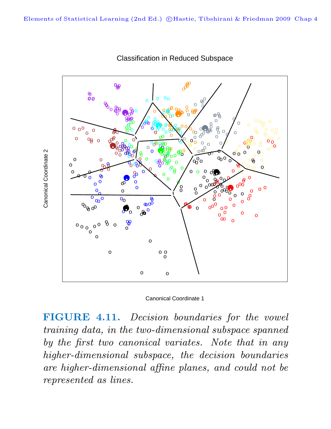

Classification in Reduced Subspace

Canonical Coordinate 1

**FIGURE 4.11.** Decision boundaries for the vowel training data, in the two-dimensional subspace spanned by the first two canonical variates. Note that in any higher-dimensional subspace, the decision boundaries are higher-dimensional affine planes, and could not be represented as lines.

Canonical Coordinate 2 Canonical Coordinate 2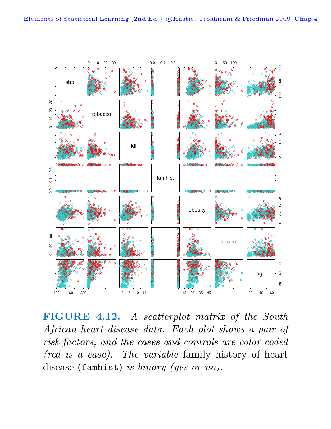

FIGURE 4.12. A scatterplot matrix of the South African heart disease data. Each plot shows a pair of risk factors, and the cases and controls are color coded (red is a case). The variable family history of heart disease (famhist) is binary (yes or no).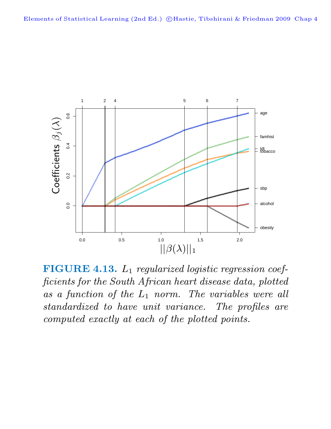

**FIGURE 4.13.**  $L_1$  regularized logistic regression coefficients for the South African heart disease data, plotted as a function of the  $L_1$  norm. The variables were all standardized to have unit variance. The profiles are computed exactly at each of the plotted points.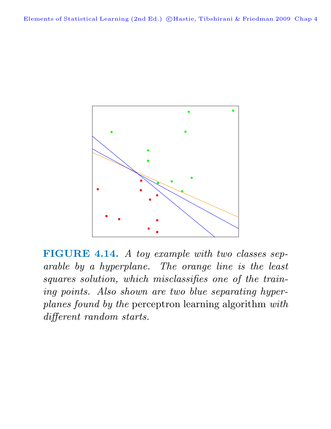

**FIGURE 4.14.** A toy example with two classes separable by a hyperplane. The orange line is the least squares solution, which misclassifies one of the training points. Also shown are two blue separating hyperplanes found by the perceptron learning algorithm with different random starts.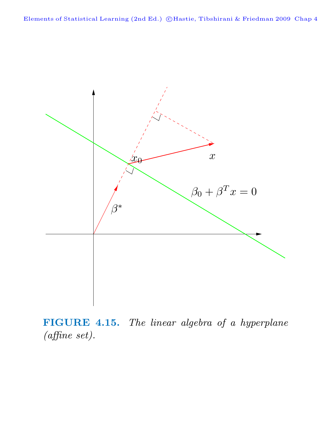Elements of Statistical Learning (2nd Ed.) ©Hastie, Tibshirani & Friedman 2009 Chap 4



**FIGURE 4.15.** The linear algebra of a hyperplane (affine set).